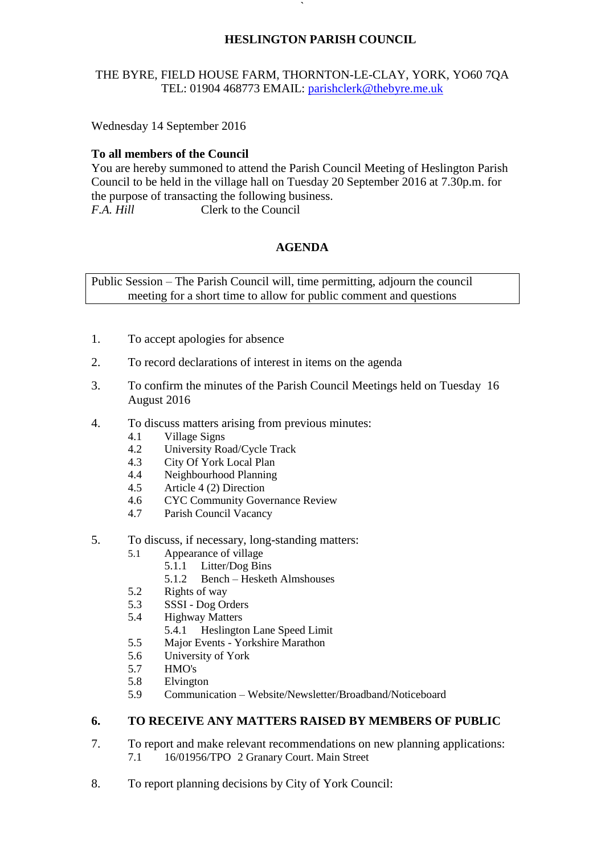# **HESLINGTON PARISH COUNCIL**

# THE BYRE, FIELD HOUSE FARM, THORNTON-LE-CLAY, YORK, YO60 7QA TEL: 01904 468773 EMAIL: [parishclerk@thebyre.me.uk](mailto:parishclerk@thebyre.me.uk)

**`** 

Wednesday 14 September 2016

## **To all members of the Council**

You are hereby summoned to attend the Parish Council Meeting of Heslington Parish Council to be held in the village hall on Tuesday 20 September 2016 at 7.30p.m. for the purpose of transacting the following business. *F.A. Hill* Clerk to the Council

## **AGENDA**

Public Session – The Parish Council will, time permitting, adjourn the council meeting for a short time to allow for public comment and questions

- 1. To accept apologies for absence
- 2. To record declarations of interest in items on the agenda
- 3. To confirm the minutes of the Parish Council Meetings held on Tuesday 16 August 2016
- 4. To discuss matters arising from previous minutes:
	- 4.1 Village Signs
	- 4.2 University Road/Cycle Track
	- 4.3 City Of York Local Plan
	- 4.4 Neighbourhood Planning
	- 4.5 Article 4 (2) Direction
	- 4.6 CYC Community Governance Review
	- 4.7 Parish Council Vacancy
- 5. To discuss, if necessary, long-standing matters:
	- 5.1 Appearance of village
		- 5.1.1 Litter/Dog Bins
			- 5.1.2 Bench Hesketh Almshouses
	- 5.2 Rights of way
	- 5.3 SSSI Dog Orders
	- 5.4 Highway Matters
		- 5.4.1 Heslington Lane Speed Limit
	- 5.5 Major Events Yorkshire Marathon
	- 5.6 University of York
	- 5.7 HMO's
	- 5.8 Elvington
	- 5.9 Communication Website/Newsletter/Broadband/Noticeboard

#### **6. TO RECEIVE ANY MATTERS RAISED BY MEMBERS OF PUBLIC**

- 7. To report and make relevant recommendations on new planning applications: 7.1 16/01956/TPO 2 Granary Court. Main Street
- 8. To report planning decisions by City of York Council: